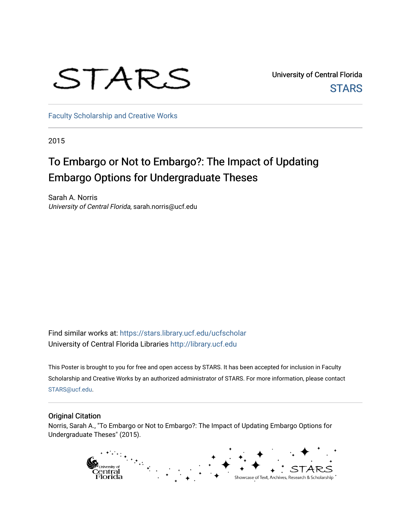# STARS

University of Central Florida **STARS** 

[Faculty Scholarship and Creative Works](https://stars.library.ucf.edu/ucfscholar) 

2015

#### To Embargo or Not to Embargo?: The Impact of Updating Embargo Options for Undergraduate Theses

Sarah A. Norris University of Central Florida, sarah.norris@ucf.edu

Find similar works at: <https://stars.library.ucf.edu/ucfscholar> University of Central Florida Libraries [http://library.ucf.edu](http://library.ucf.edu/) 

This Poster is brought to you for free and open access by STARS. It has been accepted for inclusion in Faculty Scholarship and Creative Works by an authorized administrator of STARS. For more information, please contact [STARS@ucf.edu](mailto:STARS@ucf.edu).

#### Original Citation

Norris, Sarah A., "To Embargo or Not to Embargo?: The Impact of Updating Embargo Options for Undergraduate Theses" (2015).